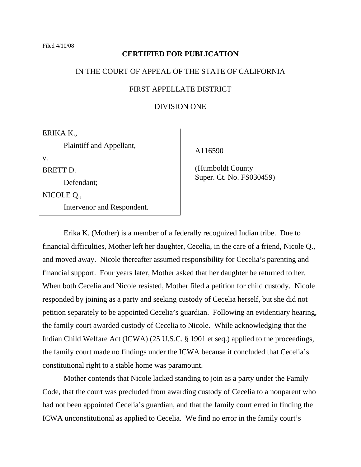#### **CERTIFIED FOR PUBLICATION**

# IN THE COURT OF APPEAL OF THE STATE OF CALIFORNIA

# FIRST APPELLATE DISTRICT

# DIVISION ONE

ERIKA K.,

Plaintiff and Appellant,

v.

BRETT D.

Defendant;

NICOLE Q.,

Intervenor and Respondent.

A116590

 (Humboldt County Super. Ct. No. FS030459)

 Erika K. (Mother) is a member of a federally recognized Indian tribe. Due to financial difficulties, Mother left her daughter, Cecelia, in the care of a friend, Nicole Q., and moved away. Nicole thereafter assumed responsibility for Cecelia's parenting and financial support. Four years later, Mother asked that her daughter be returned to her. When both Cecelia and Nicole resisted, Mother filed a petition for child custody. Nicole responded by joining as a party and seeking custody of Cecelia herself, but she did not petition separately to be appointed Cecelia's guardian. Following an evidentiary hearing, the family court awarded custody of Cecelia to Nicole. While acknowledging that the Indian Child Welfare Act (ICWA) (25 U.S.C. § 1901 et seq.) applied to the proceedings, the family court made no findings under the ICWA because it concluded that Cecelia's constitutional right to a stable home was paramount.

 Mother contends that Nicole lacked standing to join as a party under the Family Code, that the court was precluded from awarding custody of Cecelia to a nonparent who had not been appointed Cecelia's guardian, and that the family court erred in finding the ICWA unconstitutional as applied to Cecelia. We find no error in the family court's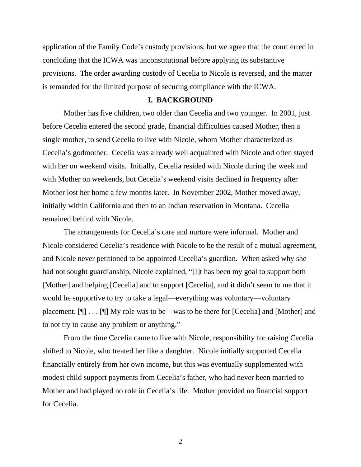application of the Family Code's custody provisions, but we agree that the court erred in concluding that the ICWA was unconstitutional before applying its substantive provisions. The order awarding custody of Cecelia to Nicole is reversed, and the matter is remanded for the limited purpose of securing compliance with the ICWA.

# **I. BACKGROUND**

 Mother has five children, two older than Cecelia and two younger. In 2001, just before Cecelia entered the second grade, financial difficulties caused Mother, then a single mother, to send Cecelia to live with Nicole, whom Mother characterized as Cecelia's godmother. Cecelia was already well acquainted with Nicole and often stayed with her on weekend visits. Initially, Cecelia resided with Nicole during the week and with Mother on weekends, but Cecelia's weekend visits declined in frequency after Mother lost her home a few months later. In November 2002, Mother moved away, initially within California and then to an Indian reservation in Montana. Cecelia remained behind with Nicole.

 The arrangements for Cecelia's care and nurture were informal. Mother and Nicole considered Cecelia's residence with Nicole to be the result of a mutual agreement, and Nicole never petitioned to be appointed Cecelia's guardian. When asked why she had not sought guardianship, Nicole explained, "[I]t has been my goal to support both [Mother] and helping [Cecelia] and to support [Cecelia], and it didn't seem to me that it would be supportive to try to take a legal—everything was voluntary—voluntary placement. [¶] . . . [¶] My role was to be—was to be there for [Cecelia] and [Mother] and to not try to cause any problem or anything."

 From the time Cecelia came to live with Nicole, responsibility for raising Cecelia shifted to Nicole, who treated her like a daughter. Nicole initially supported Cecelia financially entirely from her own income, but this was eventually supplemented with modest child support payments from Cecelia's father, who had never been married to Mother and had played no role in Cecelia's life. Mother provided no financial support for Cecelia.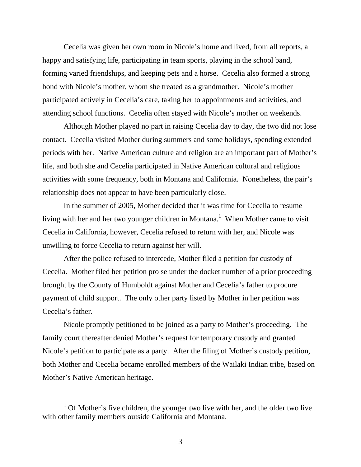Cecelia was given her own room in Nicole's home and lived, from all reports, a happy and satisfying life, participating in team sports, playing in the school band, forming varied friendships, and keeping pets and a horse. Cecelia also formed a strong bond with Nicole's mother, whom she treated as a grandmother. Nicole's mother participated actively in Cecelia's care, taking her to appointments and activities, and attending school functions. Cecelia often stayed with Nicole's mother on weekends.

 Although Mother played no part in raising Cecelia day to day, the two did not lose contact. Cecelia visited Mother during summers and some holidays, spending extended periods with her. Native American culture and religion are an important part of Mother's life, and both she and Cecelia participated in Native American cultural and religious activities with some frequency, both in Montana and California. Nonetheless, the pair's relationship does not appear to have been particularly close.

 In the summer of 2005, Mother decided that it was time for Cecelia to resume living with her and her two younger children in Montana.<sup>1</sup> When Mother came to visit Cecelia in California, however, Cecelia refused to return with her, and Nicole was unwilling to force Cecelia to return against her will.

 After the police refused to intercede, Mother filed a petition for custody of Cecelia. Mother filed her petition pro se under the docket number of a prior proceeding brought by the County of Humboldt against Mother and Cecelia's father to procure payment of child support. The only other party listed by Mother in her petition was Cecelia's father.

 Nicole promptly petitioned to be joined as a party to Mother's proceeding. The family court thereafter denied Mother's request for temporary custody and granted Nicole's petition to participate as a party. After the filing of Mother's custody petition, both Mother and Cecelia became enrolled members of the Wailaki Indian tribe, based on Mother's Native American heritage.

<sup>&</sup>lt;u>1</u>  $1$  Of Mother's five children, the younger two live with her, and the older two live with other family members outside California and Montana.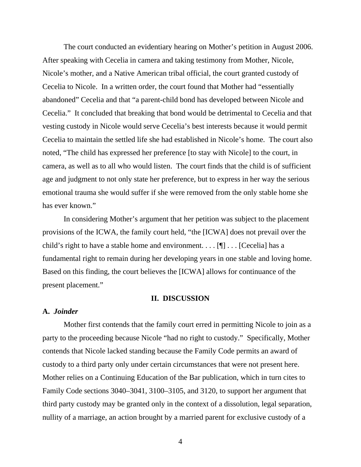The court conducted an evidentiary hearing on Mother's petition in August 2006. After speaking with Cecelia in camera and taking testimony from Mother, Nicole, Nicole's mother, and a Native American tribal official, the court granted custody of Cecelia to Nicole. In a written order, the court found that Mother had "essentially abandoned" Cecelia and that "a parent-child bond has developed between Nicole and Cecelia." It concluded that breaking that bond would be detrimental to Cecelia and that vesting custody in Nicole would serve Cecelia's best interests because it would permit Cecelia to maintain the settled life she had established in Nicole's home. The court also noted, "The child has expressed her preference [to stay with Nicole] to the court, in camera, as well as to all who would listen. The court finds that the child is of sufficient age and judgment to not only state her preference, but to express in her way the serious emotional trauma she would suffer if she were removed from the only stable home she has ever known."

 In considering Mother's argument that her petition was subject to the placement provisions of the ICWA, the family court held, "the [ICWA] does not prevail over the child's right to have a stable home and environment. . . . [¶] . . . [Cecelia] has a fundamental right to remain during her developing years in one stable and loving home. Based on this finding, the court believes the [ICWA] allows for continuance of the present placement."

#### **II. DISCUSSION**

# **A.** *Joinder*

 Mother first contends that the family court erred in permitting Nicole to join as a party to the proceeding because Nicole "had no right to custody." Specifically, Mother contends that Nicole lacked standing because the Family Code permits an award of custody to a third party only under certain circumstances that were not present here. Mother relies on a Continuing Education of the Bar publication, which in turn cites to Family Code sections 3040–3041, 3100–3105, and 3120, to support her argument that third party custody may be granted only in the context of a dissolution, legal separation, nullity of a marriage, an action brought by a married parent for exclusive custody of a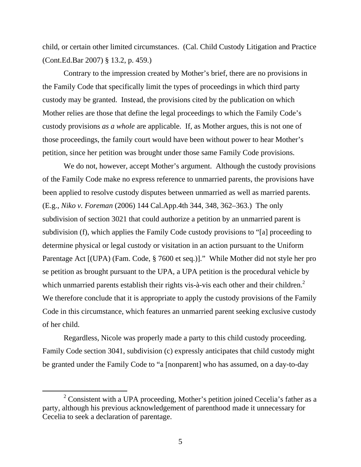child, or certain other limited circumstances. (Cal. Child Custody Litigation and Practice (Cont.Ed.Bar 2007) § 13.2, p. 459.)

 Contrary to the impression created by Mother's brief, there are no provisions in the Family Code that specifically limit the types of proceedings in which third party custody may be granted. Instead, the provisions cited by the publication on which Mother relies are those that define the legal proceedings to which the Family Code's custody provisions *as a whole* are applicable. If, as Mother argues, this is not one of those proceedings, the family court would have been without power to hear Mother's petition, since her petition was brought under those same Family Code provisions.

 We do not, however, accept Mother's argument. Although the custody provisions of the Family Code make no express reference to unmarried parents, the provisions have been applied to resolve custody disputes between unmarried as well as married parents. (E.g., *Niko v. Foreman* (2006) 144 Cal.App.4th 344, 348, 362–363.) The only subdivision of section 3021 that could authorize a petition by an unmarried parent is subdivision (f), which applies the Family Code custody provisions to "[a] proceeding to determine physical or legal custody or visitation in an action pursuant to the Uniform Parentage Act [(UPA) (Fam. Code, § 7600 et seq.)]." While Mother did not style her pro se petition as brought pursuant to the UPA, a UPA petition is the procedural vehicle by which unmarried parents establish their rights vis-à-vis each other and their children.<sup>2</sup> We therefore conclude that it is appropriate to apply the custody provisions of the Family Code in this circumstance, which features an unmarried parent seeking exclusive custody of her child.

 Regardless, Nicole was properly made a party to this child custody proceeding. Family Code section 3041, subdivision (c) expressly anticipates that child custody might be granted under the Family Code to "a [nonparent] who has assumed, on a day-to-day

 $\frac{1}{2}$  $2$  Consistent with a UPA proceeding, Mother's petition joined Cecelia's father as a party, although his previous acknowledgement of parenthood made it unnecessary for Cecelia to seek a declaration of parentage.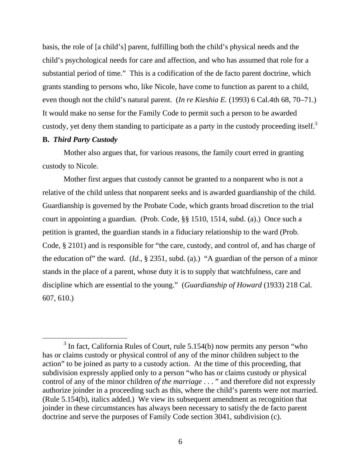basis, the role of [a child's] parent, fulfilling both the child's physical needs and the child's psychological needs for care and affection, and who has assumed that role for a substantial period of time." This is a codification of the de facto parent doctrine, which grants standing to persons who, like Nicole, have come to function as parent to a child, even though not the child's natural parent. (*In re Kieshia E.* (1993) 6 Cal.4th 68, 70–71.) It would make no sense for the Family Code to permit such a person to be awarded custody, yet deny them standing to participate as a party in the custody proceeding itself.<sup>3</sup>

# **B.** *Third Party Custody*

 Mother also argues that, for various reasons, the family court erred in granting custody to Nicole.

 Mother first argues that custody cannot be granted to a nonparent who is not a relative of the child unless that nonparent seeks and is awarded guardianship of the child. Guardianship is governed by the Probate Code, which grants broad discretion to the trial court in appointing a guardian. (Prob. Code, §§ 1510, 1514, subd. (a).) Once such a petition is granted, the guardian stands in a fiduciary relationship to the ward (Prob. Code, § 2101) and is responsible for "the care, custody, and control of, and has charge of the education of" the ward. (*Id.*, § 2351, subd. (a).) "A guardian of the person of a minor stands in the place of a parent, whose duty it is to supply that watchfulness, care and discipline which are essential to the young." (*Guardianship of Howard* (1933) 218 Cal. 607, 610.)

 $\frac{1}{3}$  $3$  In fact, California Rules of Court, rule 5.154(b) now permits any person "who has or claims custody or physical control of any of the minor children subject to the action" to be joined as party to a custody action. At the time of this proceeding, that subdivision expressly applied only to a person "who has or claims custody or physical control of any of the minor children *of the marriage* . . . " and therefore did not expressly authorize joinder in a proceeding such as this, where the child's parents were not married. (Rule 5.154(b), italics added.) We view its subsequent amendment as recognition that joinder in these circumstances has always been necessary to satisfy the de facto parent doctrine and serve the purposes of Family Code section 3041, subdivision (c).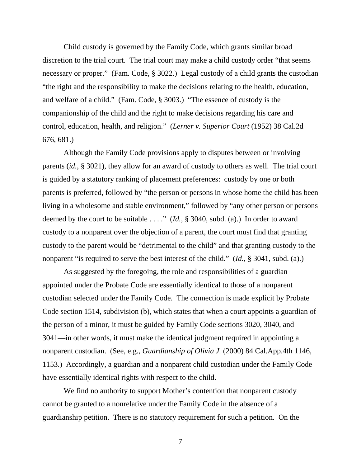Child custody is governed by the Family Code, which grants similar broad discretion to the trial court. The trial court may make a child custody order "that seems necessary or proper." (Fam. Code, § 3022.) Legal custody of a child grants the custodian "the right and the responsibility to make the decisions relating to the health, education, and welfare of a child." (Fam. Code, § 3003.) "The essence of custody is the companionship of the child and the right to make decisions regarding his care and control, education, health, and religion." (*Lerner v. Superior Court* (1952) 38 Cal.2d 676, 681.)

 Although the Family Code provisions apply to disputes between or involving parents (*id.*, § 3021), they allow for an award of custody to others as well. The trial court is guided by a statutory ranking of placement preferences: custody by one or both parents is preferred, followed by "the person or persons in whose home the child has been living in a wholesome and stable environment," followed by "any other person or persons deemed by the court to be suitable . . . ." (*Id.,* § 3040, subd. (a).) In order to award custody to a nonparent over the objection of a parent, the court must find that granting custody to the parent would be "detrimental to the child" and that granting custody to the nonparent "is required to serve the best interest of the child." (*Id.,* § 3041, subd. (a).)

 As suggested by the foregoing, the role and responsibilities of a guardian appointed under the Probate Code are essentially identical to those of a nonparent custodian selected under the Family Code. The connection is made explicit by Probate Code section 1514, subdivision (b), which states that when a court appoints a guardian of the person of a minor, it must be guided by Family Code sections 3020, 3040, and 3041—in other words, it must make the identical judgment required in appointing a nonparent custodian. (See, e.g., *Guardianship of Olivia J.* (2000) 84 Cal.App.4th 1146, 1153.) Accordingly, a guardian and a nonparent child custodian under the Family Code have essentially identical rights with respect to the child.

We find no authority to support Mother's contention that nonparent custody cannot be granted to a nonrelative under the Family Code in the absence of a guardianship petition. There is no statutory requirement for such a petition. On the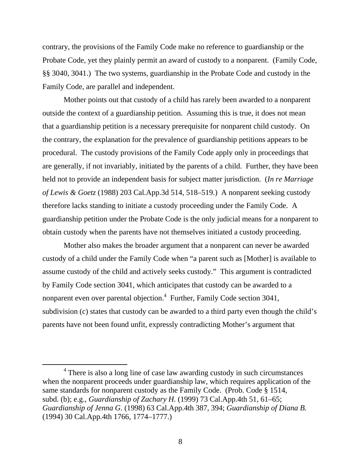contrary, the provisions of the Family Code make no reference to guardianship or the Probate Code, yet they plainly permit an award of custody to a nonparent. (Family Code*,*  §§ 3040, 3041.) The two systems, guardianship in the Probate Code and custody in the Family Code, are parallel and independent.

 Mother points out that custody of a child has rarely been awarded to a nonparent outside the context of a guardianship petition. Assuming this is true, it does not mean that a guardianship petition is a necessary prerequisite for nonparent child custody. On the contrary, the explanation for the prevalence of guardianship petitions appears to be procedural. The custody provisions of the Family Code apply only in proceedings that are generally, if not invariably, initiated by the parents of a child. Further, they have been held not to provide an independent basis for subject matter jurisdiction. (*In re Marriage of Lewis & Goetz* (1988) 203 Cal.App.3d 514, 518–519.) A nonparent seeking custody therefore lacks standing to initiate a custody proceeding under the Family Code. A guardianship petition under the Probate Code is the only judicial means for a nonparent to obtain custody when the parents have not themselves initiated a custody proceeding.

 Mother also makes the broader argument that a nonparent can never be awarded custody of a child under the Family Code when "a parent such as [Mother] is available to assume custody of the child and actively seeks custody." This argument is contradicted by Family Code section 3041, which anticipates that custody can be awarded to a nonparent even over parental objection.<sup>4</sup> Further, Family Code section 3041, subdivision (c) states that custody can be awarded to a third party even though the child's parents have not been found unfit, expressly contradicting Mother's argument that

 $\frac{1}{4}$  There is also a long line of case law awarding custody in such circumstances when the nonparent proceeds under guardianship law, which requires application of the same standards for nonparent custody as the Family Code. (Prob. Code § 1514, subd. (b); e.g., *Guardianship of Zachary H.* (1999) 73 Cal.App.4th 51, 61–65; *Guardianship of Jenna G.* (1998) 63 Cal.App.4th 387, 394; *Guardianship of Diana B.* (1994) 30 Cal.App.4th 1766, 1774–1777.)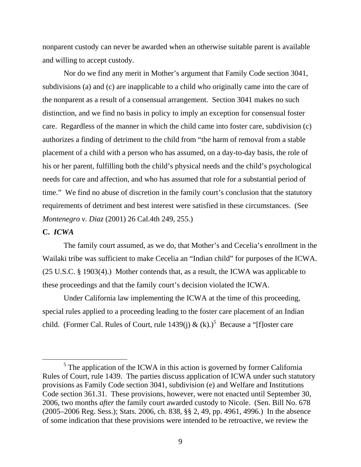nonparent custody can never be awarded when an otherwise suitable parent is available and willing to accept custody.

 Nor do we find any merit in Mother's argument that Family Code section 3041, subdivisions (a) and (c) are inapplicable to a child who originally came into the care of the nonparent as a result of a consensual arrangement. Section 3041 makes no such distinction, and we find no basis in policy to imply an exception for consensual foster care. Regardless of the manner in which the child came into foster care, subdivision (c) authorizes a finding of detriment to the child from "the harm of removal from a stable placement of a child with a person who has assumed, on a day-to-day basis, the role of his or her parent, fulfilling both the child's physical needs and the child's psychological needs for care and affection, and who has assumed that role for a substantial period of time." We find no abuse of discretion in the family court's conclusion that the statutory requirements of detriment and best interest were satisfied in these circumstances. (See *Montenegro v. Diaz* (2001) 26 Cal.4th 249, 255.)

#### **C.** *ICWA*

 The family court assumed, as we do, that Mother's and Cecelia's enrollment in the Wailaki tribe was sufficient to make Cecelia an "Indian child" for purposes of the ICWA. (25 U.S.C. § 1903(4).) Mother contends that, as a result, the ICWA was applicable to these proceedings and that the family court's decision violated the ICWA.

 Under California law implementing the ICWA at the time of this proceeding, special rules applied to a proceeding leading to the foster care placement of an Indian child. (Former Cal. Rules of Court, rule 1439(j) & (k).)<sup>5</sup> Because a "[f]oster care

 $\frac{1}{5}$  $5$  The application of the ICWA in this action is governed by former California Rules of Court, rule 1439. The parties discuss application of ICWA under such statutory provisions as Family Code section 3041, subdivision (e) and Welfare and Institutions Code section 361.31. These provisions, however, were not enacted until September 30, 2006, two months *after* the family court awarded custody to Nicole. (Sen. Bill No. 678 (2005–2006 Reg. Sess.); Stats. 2006, ch. 838, §§ 2, 49, pp. 4961, 4996.) In the absence of some indication that these provisions were intended to be retroactive, we review the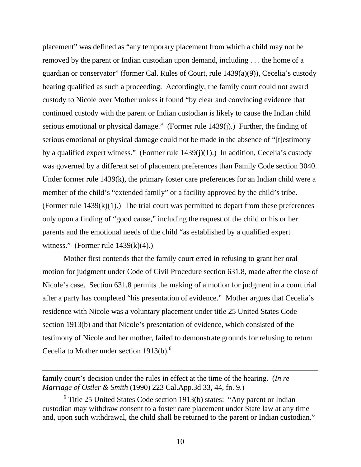placement" was defined as "any temporary placement from which a child may not be removed by the parent or Indian custodian upon demand, including . . . the home of a guardian or conservator" (former Cal. Rules of Court, rule 1439(a)(9)), Cecelia's custody hearing qualified as such a proceeding. Accordingly, the family court could not award custody to Nicole over Mother unless it found "by clear and convincing evidence that continued custody with the parent or Indian custodian is likely to cause the Indian child serious emotional or physical damage." (Former rule 1439(j).) Further, the finding of serious emotional or physical damage could not be made in the absence of "[t]estimony by a qualified expert witness." (Former rule  $1439(j)(1)$ .) In addition, Cecelia's custody was governed by a different set of placement preferences than Family Code section 3040. Under former rule 1439(k), the primary foster care preferences for an Indian child were a member of the child's "extended family" or a facility approved by the child's tribe. (Former rule  $1439(k)(1)$ .) The trial court was permitted to depart from these preferences only upon a finding of "good cause," including the request of the child or his or her parents and the emotional needs of the child "as established by a qualified expert witness." (Former rule  $1439(k)(4)$ .)

 Mother first contends that the family court erred in refusing to grant her oral motion for judgment under Code of Civil Procedure section 631.8, made after the close of Nicole's case. Section 631.8 permits the making of a motion for judgment in a court trial after a party has completed "his presentation of evidence." Mother argues that Cecelia's residence with Nicole was a voluntary placement under title 25 United States Code section 1913(b) and that Nicole's presentation of evidence, which consisted of the testimony of Nicole and her mother, failed to demonstrate grounds for refusing to return Cecelia to Mother under section  $1913(b)$ .<sup>6</sup>

 $\overline{a}$ 

family court's decision under the rules in effect at the time of the hearing. (*In re Marriage of Ostler & Smith* (1990) 223 Cal.App.3d 33, 44, fn. 9.)

 $6$  Title 25 United States Code section 1913(b) states: "Any parent or Indian custodian may withdraw consent to a foster care placement under State law at any time and, upon such withdrawal, the child shall be returned to the parent or Indian custodian."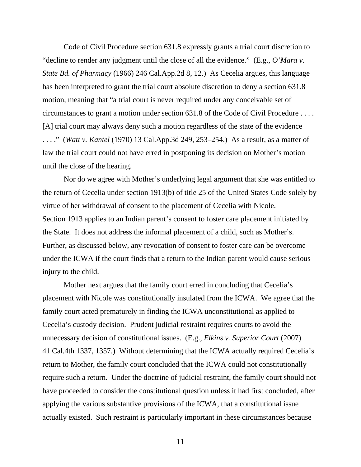Code of Civil Procedure section 631.8 expressly grants a trial court discretion to "decline to render any judgment until the close of all the evidence." (E.g., *O'Mara v. State Bd. of Pharmacy* (1966) 246 Cal.App.2d 8, 12.) As Cecelia argues, this language has been interpreted to grant the trial court absolute discretion to deny a section 631.8 motion, meaning that "a trial court is never required under any conceivable set of circumstances to grant a motion under section 631.8 of the Code of Civil Procedure . . . . [A] trial court may always deny such a motion regardless of the state of the evidence . . . ." (*Watt v. Kantel* (1970) 13 Cal.App.3d 249, 253–254.) As a result, as a matter of law the trial court could not have erred in postponing its decision on Mother's motion until the close of the hearing.

 Nor do we agree with Mother's underlying legal argument that she was entitled to the return of Cecelia under section 1913(b) of title 25 of the United States Code solely by virtue of her withdrawal of consent to the placement of Cecelia with Nicole. Section 1913 applies to an Indian parent's consent to foster care placement initiated by the State. It does not address the informal placement of a child, such as Mother's. Further, as discussed below, any revocation of consent to foster care can be overcome under the ICWA if the court finds that a return to the Indian parent would cause serious injury to the child.

 Mother next argues that the family court erred in concluding that Cecelia's placement with Nicole was constitutionally insulated from the ICWA. We agree that the family court acted prematurely in finding the ICWA unconstitutional as applied to Cecelia's custody decision. Prudent judicial restraint requires courts to avoid the unnecessary decision of constitutional issues. (E.g., *Elkins v. Superior Court* (2007) 41 Cal.4th 1337, 1357.) Without determining that the ICWA actually required Cecelia's return to Mother, the family court concluded that the ICWA could not constitutionally require such a return. Under the doctrine of judicial restraint, the family court should not have proceeded to consider the constitutional question unless it had first concluded, after applying the various substantive provisions of the ICWA, that a constitutional issue actually existed. Such restraint is particularly important in these circumstances because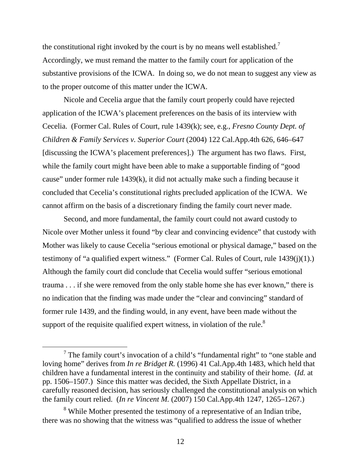the constitutional right invoked by the court is by no means well established.<sup>7</sup> Accordingly, we must remand the matter to the family court for application of the substantive provisions of the ICWA. In doing so, we do not mean to suggest any view as to the proper outcome of this matter under the ICWA.

 Nicole and Cecelia argue that the family court properly could have rejected application of the ICWA's placement preferences on the basis of its interview with Cecelia. (Former Cal. Rules of Court, rule 1439(k); see, e.g., *Fresno County Dept. of Children & Family Services v. Superior Court* (2004) 122 Cal.App.4th 626, 646–647 [discussing the ICWA's placement preferences].) The argument has two flaws. First, while the family court might have been able to make a supportable finding of "good" cause" under former rule 1439(k), it did not actually make such a finding because it concluded that Cecelia's constitutional rights precluded application of the ICWA. We cannot affirm on the basis of a discretionary finding the family court never made.

 Second, and more fundamental, the family court could not award custody to Nicole over Mother unless it found "by clear and convincing evidence" that custody with Mother was likely to cause Cecelia "serious emotional or physical damage," based on the testimony of "a qualified expert witness." (Former Cal. Rules of Court, rule 1439(j)(1).) Although the family court did conclude that Cecelia would suffer "serious emotional trauma . . . if she were removed from the only stable home she has ever known," there is no indication that the finding was made under the "clear and convincing" standard of former rule 1439, and the finding would, in any event, have been made without the support of the requisite qualified expert witness, in violation of the rule.<sup>8</sup>

 $\frac{1}{7}$  $\frac{7}{1}$  The family court's invocation of a child's "fundamental right" to "one stable and loving home" derives from *In re Bridget R.* (1996) 41 Cal.App.4th 1483, which held that children have a fundamental interest in the continuity and stability of their home. (*Id.* at pp. 1506–1507.) Since this matter was decided, the Sixth Appellate District, in a carefully reasoned decision, has seriously challenged the constitutional analysis on which the family court relied. (*In re Vincent M.* (2007) 150 Cal.App.4th 1247, 1265–1267.)

<sup>&</sup>lt;sup>8</sup> While Mother presented the testimony of a representative of an Indian tribe, there was no showing that the witness was "qualified to address the issue of whether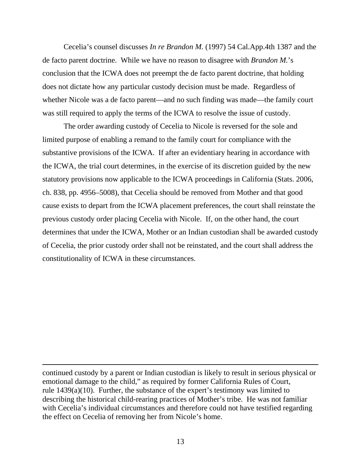Cecelia's counsel discusses *In re Brandon M.* (1997) 54 Cal.App.4th 1387 and the de facto parent doctrine. While we have no reason to disagree with *Brandon M.*'s conclusion that the ICWA does not preempt the de facto parent doctrine, that holding does not dictate how any particular custody decision must be made. Regardless of whether Nicole was a de facto parent—and no such finding was made—the family court was still required to apply the terms of the ICWA to resolve the issue of custody.

 The order awarding custody of Cecelia to Nicole is reversed for the sole and limited purpose of enabling a remand to the family court for compliance with the substantive provisions of the ICWA. If after an evidentiary hearing in accordance with the ICWA, the trial court determines, in the exercise of its discretion guided by the new statutory provisions now applicable to the ICWA proceedings in California (Stats. 2006, ch. 838, pp. 4956–5008), that Cecelia should be removed from Mother and that good cause exists to depart from the ICWA placement preferences, the court shall reinstate the previous custody order placing Cecelia with Nicole. If, on the other hand, the court determines that under the ICWA, Mother or an Indian custodian shall be awarded custody of Cecelia, the prior custody order shall not be reinstated, and the court shall address the constitutionality of ICWA in these circumstances.

continued custody by a parent or Indian custodian is likely to result in serious physical or emotional damage to the child," as required by former California Rules of Court, rule 1439(a)(10). Further, the substance of the expert's testimony was limited to describing the historical child-rearing practices of Mother's tribe. He was not familiar with Cecelia's individual circumstances and therefore could not have testified regarding the effect on Cecelia of removing her from Nicole's home.

 $\overline{a}$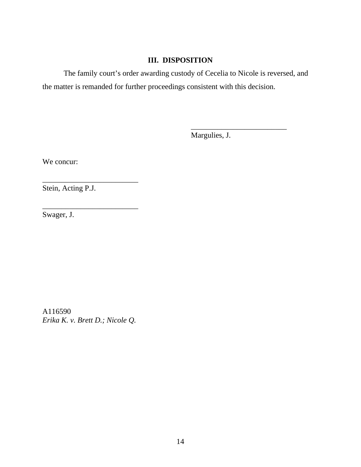# **III. DISPOSITION**

 The family court's order awarding custody of Cecelia to Nicole is reversed, and the matter is remanded for further proceedings consistent with this decision.

 $\frac{1}{\sqrt{2}}$  , and the contract of the contract of the contract of the contract of the contract of the contract of the contract of the contract of the contract of the contract of the contract of the contract of the contra

Margulies, J.

We concur:

Stein, Acting P.J.

\_\_\_\_\_\_\_\_\_\_\_\_\_\_\_\_\_\_\_\_\_\_\_\_\_

\_\_\_\_\_\_\_\_\_\_\_\_\_\_\_\_\_\_\_\_\_\_\_\_\_

Swager, J.

A116590 *Erika K. v. Brett D.; Nicole Q.*